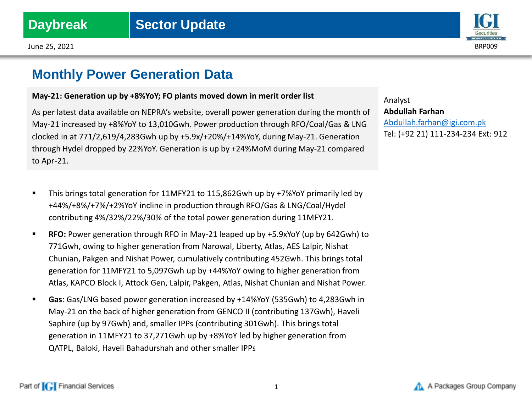



## **Monthly Power Generation Data**

## **May-21: Generation up by +8%YoY; FO plants moved down in merit order list**

As per latest data available on NEPRA's website, overall power generation during the month of May-21 increased by +8%YoY to 13,010Gwh. Power production through RFO/Coal/Gas & LNG clocked in at 771/2,619/4,283Gwh up by +5.9x/+20%/+14%YoY, during May-21. Generation through Hydel dropped by 22%YoY. Generation is up by +24%MoM during May-21 compared to Apr-21.

- This brings total generation for 11MFY21 to 115,862Gwh up by +7%YoY primarily led by +44%/+8%/+7%/+2%YoY incline in production through RFO/Gas & LNG/Coal/Hydel contributing 4%/32%/22%/30% of the total power generation during 11MFY21.
- **RFO:** Power generation through RFO in May-21 leaped up by +5.9xYoY (up by 642Gwh) to 771Gwh, owing to higher generation from Narowal, Liberty, Atlas, AES Lalpir, Nishat Chunian, Pakgen and Nishat Power, cumulatively contributing 452Gwh. This brings total generation for 11MFY21 to 5,097Gwh up by +44%YoY owing to higher generation from Atlas, KAPCO Block I, Attock Gen, Lalpir, Pakgen, Atlas, Nishat Chunian and Nishat Power.
- **Gas**: Gas/LNG based power generation increased by +14%YoY (535Gwh) to 4,283Gwh in May-21 on the back of higher generation from GENCO II (contributing 137Gwh), Haveli Saphire (up by 97Gwh) and, smaller IPPs (contributing 301Gwh). This brings total generation in 11MFY21 to 37,271Gwh up by +8%YoY led by higher generation from QATPL, Baloki, Haveli Bahadurshah and other smaller IPPs

Analyst **Abdullah Farhan** [Abdullah.farhan@igi.com.pk](mailto:Shumail.rauf@igi.com.pk) Tel: (+92 21) 111-234-234 Ext: 912



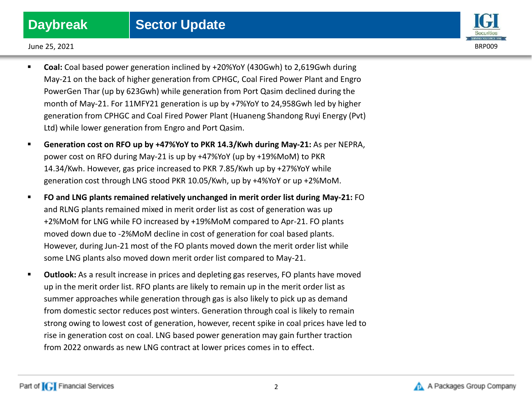

June 25, 2021 BRP009

- **Coal:** Coal based power generation inclined by +20%YoY (430Gwh) to 2,619Gwh during May-21 on the back of higher generation from CPHGC, Coal Fired Power Plant and Engro PowerGen Thar (up by 623Gwh) while generation from Port Qasim declined during the month of May-21. For 11MFY21 generation is up by +7%YoY to 24,958Gwh led by higher generation from CPHGC and Coal Fired Power Plant (Huaneng Shandong Ruyi Energy (Pvt) Ltd) while lower generation from Engro and Port Qasim.
- **Generation cost on RFO up by +47%YoY to PKR 14.3/Kwh during May-21:** As per NEPRA, power cost on RFO during May-21 is up by +47%YoY (up by +19%MoM) to PKR 14.34/Kwh. However, gas price increased to PKR 7.85/Kwh up by +27%YoY while generation cost through LNG stood PKR 10.05/Kwh, up by +4%YoY or up +2%MoM.
- **FO and LNG plants remained relatively unchanged in merit order list during May-21:** FO and RLNG plants remained mixed in merit order list as cost of generation was up +2%MoM for LNG while FO increased by +19%MoM compared to Apr-21. FO plants moved down due to -2%MoM decline in cost of generation for coal based plants. However, during Jun-21 most of the FO plants moved down the merit order list while some LNG plants also moved down merit order list compared to May-21.
- **Outlook:** As a result increase in prices and depleting gas reserves, FO plants have moved up in the merit order list. RFO plants are likely to remain up in the merit order list as summer approaches while generation through gas is also likely to pick up as demand from domestic sector reduces post winters. Generation through coal is likely to remain strong owing to lowest cost of generation, however, recent spike in coal prices have led to rise in generation cost on coal. LNG based power generation may gain further traction from 2022 onwards as new LNG contract at lower prices comes in to effect.

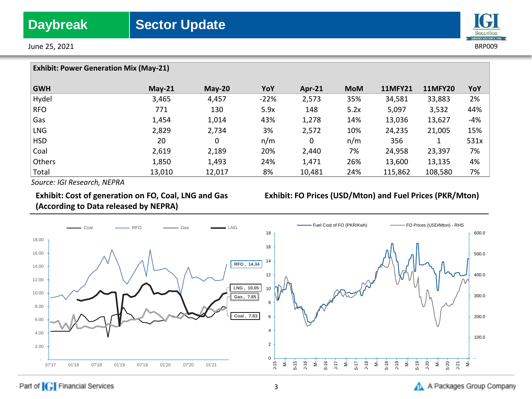



| <b>Exhibit: Power Generation Mix (May-21)</b> |          |          |        |          |            |                |                |       |
|-----------------------------------------------|----------|----------|--------|----------|------------|----------------|----------------|-------|
| <b>GWH</b>                                    | $May-21$ | $May-20$ | YoY    | $Apr-21$ | <b>MoM</b> | <b>11MFY21</b> | <b>11MFY20</b> | YoY   |
| Hydel                                         | 3,465    | 4,457    | $-22%$ | 2,573    | 35%        | 34,581         | 33,883         | 2%    |
| <b>RFO</b>                                    | 771      | 130      | 5.9x   | 148      | 5.2x       | 5,097          | 3,532          | 44%   |
| Gas                                           | 1,454    | 1,014    | 43%    | 1,278    | 14%        | 13,036         | 13,627         | $-4%$ |
| <b>LNG</b>                                    | 2,829    | 2,734    | 3%     | 2,572    | 10%        | 24,235         | 21,005         | 15%   |
| <b>HSD</b>                                    | 20       | 0        | n/m    | 0        | n/m        | 356            |                | 531x  |
| Coal                                          | 2,619    | 2,189    | 20%    | 2,440    | 7%         | 24,958         | 23,397         | 7%    |
| Others                                        | 1,850    | 1,493    | 24%    | 1,471    | 26%        | 13,600         | 13,135         | 4%    |
| Total                                         | 13,010   | 12,017   | 8%     | 10,481   | 24%        | 115,862        | 108,580        | 7%    |

*Source: IGI Research, NEPRA*

## **Exhibit: Cost of generation on FO, Coal, LNG and Gas (According to Data released by NEPRA)**

## **Exhibit: FO Prices (USD/Mton) and Fuel Prices (PKR/Mton)**



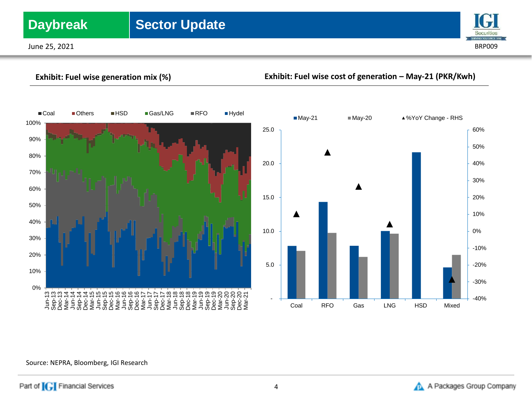## **Daybreak** Sector Update

June 25, 2021 BRP009



**Exhibit: Fuel wise generation mix (%) Exhibit: Fuel wise cost of generation – May-21 (PKR/Kwh)**





### Source: NEPRA, Bloomberg, IGI Research

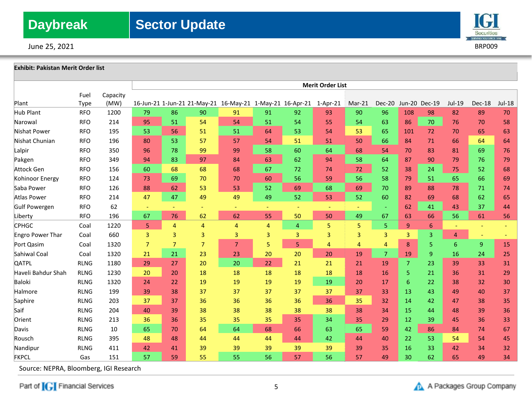June 25, 2021 BRP009



# **Exhibit: Pakistan Merit Order list**

|                    |             |          | <b>Merit Order List</b> |                |                |                                                           |    |    |          |                |                |                  |                |                |                |          |
|--------------------|-------------|----------|-------------------------|----------------|----------------|-----------------------------------------------------------|----|----|----------|----------------|----------------|------------------|----------------|----------------|----------------|----------|
|                    | Fuel        | Capacity |                         |                |                |                                                           |    |    |          |                |                |                  |                |                |                |          |
| Plant              | Type        | (MW)     |                         |                |                | 16-Jun-21 1-Jun-21 21-May-21 16-May-21 1-May-21 16-Apr-21 |    |    | 1-Apr-21 | $Mar-21$       | Dec-20         |                  | Jun-20 Dec-19  | Jul-19         | Dec-18         | $Jul-18$ |
| <b>Hub Plant</b>   | <b>RFO</b>  | 1200     | 79                      | 86             | 90             | 91                                                        | 91 | 92 | 93       | 90             | 96             | 108              | 98             | 82             | 89             | 70       |
| Narowal            | <b>RFO</b>  | 214      | 95                      | 51             | 54             | 54                                                        | 51 | 54 | 55       | 54             | 63             | 86               | 70             | 76             | 70             | 58       |
| Nishat Power       | <b>RFO</b>  | 195      | 53                      | 56             | 51             | 51                                                        | 64 | 53 | 54       | 53             | 65             | 101              | 72             | 70             | 65             | 63       |
| Nishat Chunian     | <b>RFO</b>  | 196      | 80                      | 53             | 57             | 57                                                        | 54 | 51 | 51       | 50             | 66             | 84               | 71             | 66             | 64             | 64       |
| Lalpir             | <b>RFO</b>  | 350      | 96                      | 78             | 99             | 99                                                        | 58 | 60 | 64       | 68             | 54             | 70               | 83             | 81             | 69             | 76       |
| Pakgen             | <b>RFO</b>  | 349      | 94                      | 83             | 97             | 84                                                        | 63 | 62 | 94       | 58             | 64             | 87               | 90             | 79             | 76             | 79       |
| Attock Gen         | <b>RFO</b>  | 156      | 60                      | 68             | 68             | 68                                                        | 67 | 72 | 74       | 72             | 52             | 38               | 24             | 75             | 52             | 68       |
| Kohinoor Energy    | <b>RFO</b>  | 124      | 73                      | 69             | 70             | 70                                                        | 60 | 56 | 59       | 56             | 58             | 79               | 51             | 65             | 66             | 69       |
| Saba Power         | <b>RFO</b>  | 126      | 88                      | 62             | 53             | 53                                                        | 52 | 69 | 68       | 69             | 70             | 89               | 88             | 78             | 71             | 74       |
| Atlas Power        | <b>RFO</b>  | 214      | 47                      | 47             | 49             | 49                                                        | 49 | 52 | 53       | 52             | 60             | 82               | 69             | 68             | 62             | 65       |
| Gulf Powergen      | <b>RFO</b>  | 62       |                         |                |                | ٠                                                         | ÷  |    | $\equiv$ | ÷              | $\equiv$       | 62               | 41             | 43             | 37             | 44       |
| Liberty            | <b>RFO</b>  | 196      | 67                      | 76             | 62             | 62                                                        | 55 | 50 | 50       | 49             | 67             | 63               | 66             | 56             | 61             | 56       |
| <b>CPHGC</b>       | Coal        | 1220     | 5                       | $\overline{4}$ | 4              | 4                                                         | 4  | 4  | 5        | 5              | 5              | $\boldsymbol{9}$ | 6              |                | $\sim$         |          |
| Engro Power Thar   | Coal        | 660      | 3                       | 3              | 3              | 3                                                         | 3  | 3  | 3        | 3              | 3              | 3                | $\overline{3}$ | $\overline{4}$ |                |          |
| Port Qasim         | Coal        | 1320     | $\overline{7}$          | $\overline{7}$ | $\overline{7}$ | $\overline{7}$                                            | 5  | 5  | 4        | $\overline{4}$ | 4              | 8                | 5.             | 6              | $\overline{9}$ | 15       |
| Sahiwal Coal       | Coal        | 1320     | 21                      | 21             | 23             | 23                                                        | 20 | 20 | 20       | 19             | $\overline{7}$ | 19               | $\overline{9}$ | 16             | 24             | 25       |
| QATPL              | <b>RLNG</b> | 1180     | 29                      | 27             | 20             | 20                                                        | 22 | 21 | 21       | 21             | 19             | $\overline{7}$   | 23             | 39             | 33             | 31       |
| Haveli Bahdur Shah | <b>RLNG</b> | 1230     | 20                      | 20             | 18             | 18                                                        | 18 | 18 | 18       | 18             | 16             | 5                | 21             | 36             | 31             | 29       |
| Baloki             | <b>RLNG</b> | 1320     | 24                      | 22             | 19             | 19                                                        | 19 | 19 | 19       | 20             | 17             | 6                | 22             | 38             | 32             | 30       |
| Halmore            | <b>RLNG</b> | 199      | 39                      | 38             | 37             | 37                                                        | 37 | 37 | 37       | 37             | 33             | 13               | 43             | 49             | 40             | 37       |
| Saphire            | <b>RLNG</b> | 203      | 37                      | 37             | 36             | 36                                                        | 36 | 36 | 36       | 35             | 32             | 14               | 42             | 47             | 38             | 35       |
| Saif               | <b>RLNG</b> | 204      | 40                      | 39             | 38             | 38                                                        | 38 | 38 | 38       | 38             | 34             | 15               | 44             | 48             | 39             | 36       |
| Orient             | <b>RLNG</b> | 213      | 36                      | 36             | 35             | 35                                                        | 35 | 35 | 34       | 35             | 29             | 12               | 39             | 45             | 36             | 33       |
| Davis              | <b>RLNG</b> | 10       | 65                      | 70             | 64             | 64                                                        | 68 | 66 | 63       | 65             | 59             | 42               | 86             | 84             | 74             | 67       |
| Rousch             | <b>RLNG</b> | 395      | 48                      | 48             | 44             | 44                                                        | 44 | 44 | 42       | 44             | 40             | 22               | 53             | 54             | 54             | 45       |
| Nandipur           | <b>RLNG</b> | 411      | 42                      | 41             | 39             | 39                                                        | 39 | 39 | 39       | 39             | 35             | 16               | 33             | 42             | 34             | 32       |
| <b>FKPCL</b>       | Gas         | 151      | 57                      | 59             | 55             | 55                                                        | 56 | 57 | 56       | 57             | 49             | 30               | 62             | 65             | 49             | 34       |

Source: NEPRA, Bloomberg, IGI Research

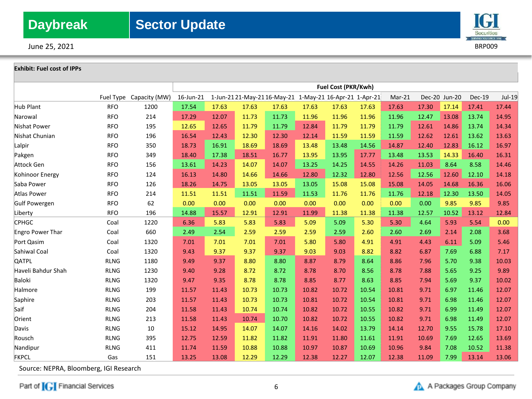June 25, 2021 BRP009

## Securities ERVING YOU SINCE 19

### **Exhibit: Fuel cost of IPPs**

|                    |             |               | Fuel Cost (PKR/Kwh) |       |                                                        |       |       |       |       |          |       |               |               |        |
|--------------------|-------------|---------------|---------------------|-------|--------------------------------------------------------|-------|-------|-------|-------|----------|-------|---------------|---------------|--------|
|                    | Fuel Type   | Capacity (MW) | 16-Jun-21           |       | 1-Jun-2121-May-2116-May-21 1-May-21 16-Apr-21 1-Apr-21 |       |       |       |       | $Mar-21$ |       | Dec-20 Jun-20 | <b>Dec-19</b> | Jul-19 |
| <b>Hub Plant</b>   | <b>RFO</b>  | 1200          | 17.54               | 17.63 | 17.63                                                  | 17.63 | 17.63 | 17.63 | 17.63 | 17.63    | 17.30 | 17.14         | 17.41         | 17.44  |
| Narowal            | <b>RFO</b>  | 214           | 17.29               | 12.07 | 11.73                                                  | 11.73 | 11.96 | 11.96 | 11.96 | 11.96    | 12.47 | 13.08         | 13.74         | 14.95  |
| Nishat Power       | <b>RFO</b>  | 195           | 12.65               | 12.65 | 11.79                                                  | 11.79 | 12.84 | 11.79 | 11.79 | 11.79    | 12.61 | 14.86         | 13.74         | 14.34  |
| Nishat Chunian     | <b>RFO</b>  | 196           | 16.54               | 12.43 | 12.30                                                  | 12.30 | 12.14 | 11.59 | 11.59 | 11.59    | 12.62 | 12.61         | 13.62         | 13.63  |
| Lalpir             | <b>RFO</b>  | 350           | 18.73               | 16.91 | 18.69                                                  | 18.69 | 13.48 | 13.48 | 14.56 | 14.87    | 12.40 | 12.83         | 16.12         | 16.97  |
| Pakgen             | <b>RFO</b>  | 349           | 18.40               | 17.38 | 18.51                                                  | 16.77 | 13.95 | 13.95 | 17.77 | 13.48    | 13.53 | 14.33         | 16.40         | 16.31  |
| Attock Gen         | <b>RFO</b>  | 156           | 13.61               | 14.23 | 14.07                                                  | 14.07 | 13.25 | 14.25 | 14.55 | 14.26    | 11.03 | 8.64          | 8.58          | 14.46  |
| Kohinoor Energy    | <b>RFO</b>  | 124           | 16.13               | 14.80 | 14.66                                                  | 14.66 | 12.80 | 12.32 | 12.80 | 12.56    | 12.56 | 12.60         | 12.10         | 14.18  |
| Saba Power         | <b>RFO</b>  | 126           | 18.26               | 14.75 | 13.05                                                  | 13.05 | 13.05 | 15.08 | 15.08 | 15.08    | 14.05 | 14.68         | 16.36         | 16.06  |
| Atlas Power        | <b>RFO</b>  | 214           | 11.51               | 11.51 | 11.51                                                  | 11.59 | 11.53 | 11.76 | 11.76 | 11.76    | 12.18 | 12.30         | 13.50         | 14.05  |
| Gulf Powergen      | <b>RFO</b>  | 62            | 0.00                | 0.00  | 0.00                                                   | 0.00  | 0.00  | 0.00  | 0.00  | 0.00     | 0.00  | 9.85          | 9.85          | 9.85   |
| Liberty            | <b>RFO</b>  | 196           | 14.88               | 15.57 | 12.91                                                  | 12.91 | 11.99 | 11.38 | 11.38 | 11.38    | 12.57 | 10.52         | 13.12         | 12.84  |
| <b>CPHGC</b>       | Coal        | 1220          | 6.36                | 5.83  | 5.83                                                   | 5.83  | 5.09  | 5.09  | 5.30  | 5.30     | 4.64  | 5.93          | 5.54          | 0.00   |
| Engro Power Thar   | Coal        | 660           | 2.49                | 2.54  | 2.59                                                   | 2.59  | 2.59  | 2.59  | 2.60  | 2.60     | 2.69  | 2.14          | 2.08          | 3.68   |
| Port Qasim         | Coal        | 1320          | 7.01                | 7.01  | 7.01                                                   | 7.01  | 5.80  | 5.80  | 4.91  | 4.91     | 4.43  | 6.11          | 5.09          | 5.46   |
| Sahiwal Coal       | Coal        | 1320          | 9.43                | 9.37  | 9.37                                                   | 9.37  | 9.03  | 9.03  | 8.82  | 8.82     | 6.87  | 7.69          | 6.88          | 7.17   |
| <b>QATPL</b>       | <b>RLNG</b> | 1180          | 9.49                | 9.37  | 8.80                                                   | 8.80  | 8.87  | 8.79  | 8.64  | 8.86     | 7.96  | 5.70          | 9.38          | 10.03  |
| Haveli Bahdur Shah | <b>RLNG</b> | 1230          | 9.40                | 9.28  | 8.72                                                   | 8.72  | 8.78  | 8.70  | 8.56  | 8.78     | 7.88  | 5.65          | 9.25          | 9.89   |
| Baloki             | <b>RLNG</b> | 1320          | 9.47                | 9.35  | 8.78                                                   | 8.78  | 8.85  | 8.77  | 8.63  | 8.85     | 7.94  | 5.69          | 9.37          | 10.02  |
| Halmore            | <b>RLNG</b> | 199           | 11.57               | 11.43 | 10.73                                                  | 10.73 | 10.82 | 10.72 | 10.54 | 10.81    | 9.71  | 6.97          | 11.46         | 12.07  |
| Saphire            | <b>RLNG</b> | 203           | 11.57               | 11.43 | 10.73                                                  | 10.73 | 10.81 | 10.72 | 10.54 | 10.81    | 9.71  | 6.98          | 11.46         | 12.07  |
| Saif               | <b>RLNG</b> | 204           | 11.58               | 11.43 | 10.74                                                  | 10.74 | 10.82 | 10.72 | 10.55 | 10.82    | 9.71  | 6.99          | 11.49         | 12.07  |
| Orient             | <b>RLNG</b> | 213           | 11.58               | 11.43 | 10.74                                                  | 10.70 | 10.82 | 10.72 | 10.55 | 10.82    | 9.71  | 6.98          | 11.49         | 12.07  |
| Davis              | <b>RLNG</b> | 10            | 15.12               | 14.95 | 14.07                                                  | 14.07 | 14.16 | 14.02 | 13.79 | 14.14    | 12.70 | 9.55          | 15.78         | 17.10  |
| Rousch             | <b>RLNG</b> | 395           | 12.75               | 12.59 | 11.82                                                  | 11.82 | 11.91 | 11.80 | 11.61 | 11.91    | 10.69 | 7.69          | 12.65         | 13.69  |
| Nandipur           | <b>RLNG</b> | 411           | 11.74               | 11.59 | 10.88                                                  | 10.88 | 10.97 | 10.87 | 10.69 | 10.96    | 9.84  | 7.08          | 10.52         | 11.38  |
| <b>FKPCL</b>       | Gas         | 151           | 13.25               | 13.08 | 12.29                                                  | 12.29 | 12.38 | 12.27 | 12.07 | 12.38    | 11.09 | 7.99          | 13.14         | 13.06  |

Source: NEPRA, Bloomberg, IGI Research

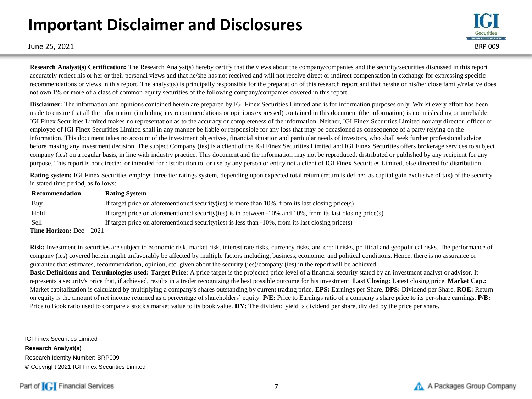## **Important Disclaimer and Disclosures**



June 25, 2021 BRP 009

**Research Analyst(s) Certification:** The Research Analyst(s) hereby certify that the views about the company/companies and the security/securities discussed in this report accurately reflect his or her or their personal views and that he/she has not received and will not receive direct or indirect compensation in exchange for expressing specific recommendations or views in this report. The analyst(s) is principally responsible for the preparation of this research report and that he/she or his/her close family/relative does not own 1% or more of a class of common equity securities of the following company/companies covered in this report.

**Disclaimer:** The information and opinions contained herein are prepared by IGI Finex Securities Limited and is for information purposes only. Whilst every effort has been made to ensure that all the information (including any recommendations or opinions expressed) contained in this document (the information) is not misleading or unreliable, IGI Finex Securities Limited makes no representation as to the accuracy or completeness of the information. Neither, IGI Finex Securities Limited nor any director, officer or employee of IGI Finex Securities Limited shall in any manner be liable or responsible for any loss that may be occasioned as consequence of a party relying on the information. This document takes no account of the investment objectives, financial situation and particular needs of investors, who shall seek further professional advice before making any investment decision. The subject Company (ies) is a client of the IGI Finex Securities Limited and IGI Finex Securities offers brokerage services to subject company (ies) on a regular basis, in line with industry practice. This document and the information may not be reproduced, distributed or published by any recipient for any purpose. This report is not directed or intended for distribution to, or use by any person or entity not a client of IGI Finex Securities Limited, else directed for distribution.

**Rating system:** IGI Finex Securities employs three tier ratings system, depending upon expected total return (return is defined as capital gain exclusive of tax) of the security in stated time period, as follows:

| Recommendation                   | <b>Rating System</b>                                                                                               |
|----------------------------------|--------------------------------------------------------------------------------------------------------------------|
| Buy                              | If target price on aforementioned security (ies) is more than $10\%$ , from its last closing price (s)             |
| Hold                             | If target price on aforementioned security (ies) is in between $-10\%$ and $10\%$ , from its last closing price(s) |
| Sell                             | If target price on aforementioned security (ies) is less than $-10\%$ , from its last closing price (s)            |
| <b>Time Horizon:</b> Dec $-2021$ |                                                                                                                    |

Risk: Investment in securities are subject to economic risk, market risk, interest rate risks, currency risks, and credit risks, political and geopolitical risks. The performance of company (ies) covered herein might unfavorably be affected by multiple factors including, business, economic, and political conditions. Hence, there is no assurance or guarantee that estimates, recommendation, opinion, etc. given about the security (ies)/company (ies) in the report will be achieved.

**Basic Definitions and Terminologies used: Target Price**: A price target is the projected price level of a financial security stated by an investment analyst or advisor. It represents a security's price that, if achieved, results in a trader recognizing the best possible outcome for his investment, **Last Closing:** Latest closing price, **Market Cap.:**  Market capitalization is calculated by multiplying a company's shares outstanding by current trading price. **EPS:** Earnings per Share. **DPS:** Dividend per Share. **ROE:** Return on equity is the amount of net income returned as a percentage of shareholders' equity. **P/E:** Price to Earnings ratio of a company's share price to its per-share earnings. **P/B:** Price to Book ratio used to compare a stock's market value to its book value. **DY:** The dividend yield is dividend per share, divided by the price per share.

IGI Finex Securities Limited **Research Analyst(s)** Research Identity Number: BRP009 © Copyright 2021 IGI Finex Securities Limited